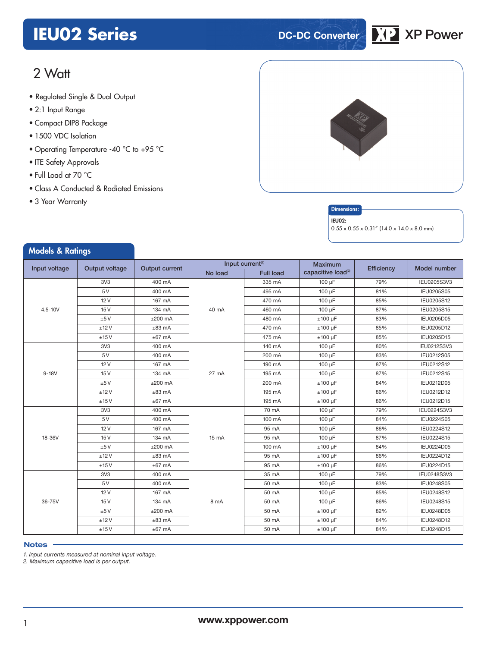## **IEU02 Series DC-DC Converter XP** XP Power



### 2 Watt

- **xxx Series** Regulated Single & Dual Output
- 2:1 Input Range
- Compact DIP8 Package
- 1500 VDC Isolation
- Operating Temperature -40 °C to +95 °C
- ITE Safety Approvals
- Full Load at 70 °C
- Class A Conducted & Radiated Emissions
- 3 Year Warranty

Models & Patings





#### IEU02:

 $0.55 \times 0.55 \times 0.31''$  (14.0 x 14.0 x 8.0 mm)

| mouch a numiyo                  |                 |                       |         |                              |                                |            |              |
|---------------------------------|-----------------|-----------------------|---------|------------------------------|--------------------------------|------------|--------------|
| Input voltage<br>Output voltage |                 | <b>Output current</b> |         | Input current <sup>(1)</sup> | <b>Maximum</b>                 | Efficiency | Model number |
|                                 |                 |                       | No load | <b>Full load</b>             | capacitive load <sup>(2)</sup> |            |              |
|                                 | 3V <sub>3</sub> | 400 mA                |         | 335 mA                       | 100 µF                         | 79%        | IEU0205S3V3  |
|                                 | 5V              | 400 mA                |         | 495 mA                       | 100 µF                         | 81%        | IEU0205S05   |
|                                 | 12V             | 167 mA                |         | 470 mA                       | 100 µF                         | 85%        | IEU0205S12   |
| $4.5 - 10V$                     | 15V             | 134 mA                | 40 mA   | 460 mA                       | 100 µF                         | 87%        | IEU0205S15   |
|                                 | ±5V             | $±200$ mA             |         | 480 mA                       | $±100 \mu F$                   | 83%        | IEU0205D05   |
|                                 | ±12V            | $±83$ mA              |         | 470 mA                       | $±100~\mu F$                   | 85%        | IEU0205D12   |
|                                 | ±15V            | $±67$ mA              |         | 475 mA                       | $±100 \mu F$                   | 85%        | IEU0205D15   |
|                                 | 3V <sub>3</sub> | 400 mA                |         | 140 mA                       | 100 uF                         | 80%        | IEU0212S3V3  |
|                                 | 5V              | 400 mA                |         | 200 mA                       | 100 µF                         | 83%        | IEU0212S05   |
|                                 | 12V             | 167 mA                |         | 190 mA                       | 100 µF                         | 87%        | IEU0212S12   |
| $9-18V$                         | 15V             | 134 mA                | 27 mA   | 195 mA                       | 100 µF                         | 87%        | IEU0212S15   |
|                                 | ±5V             | $±200$ mA             |         | 200 mA                       | $±100 \mu F$                   | 84%        | IEU0212D05   |
|                                 | ±12V            | $±83$ mA              |         | 195 mA                       | $±100 \mu F$                   | 86%        | IEU0212D12   |
|                                 | ±15V            | $±67$ mA              |         | 195 mA                       | $±100 \mu F$                   | 86%        | IEU0212D15   |
|                                 | 3V <sub>3</sub> | 400 mA                |         | 70 mA                        | 100 µF                         | 79%        | IEU0224S3V3  |
|                                 | 5V              | 400 mA                |         | 100 mA                       | 100 µF                         | 84%        | IEU0224S05   |
|                                 | 12V             | 167 mA                | 15 mA   | 95 mA                        | 100 µF                         | 86%        | IEU0224S12   |
| 18-36V                          | 15V             | 134 mA                |         | 95 mA                        | 100 µF                         | 87%        | IEU0224S15   |
|                                 | ±5V             | $±200$ mA             |         | 100 mA                       | $±100~\mu F$                   | 84%        | IEU0224D05   |
|                                 | ±12V            | $±83$ mA              |         | 95 mA                        | $±100 \mu F$                   | 86%        | IEU0224D12   |
|                                 | ±15V            | $±67$ mA              |         | 95 mA                        | $±100 \mu F$                   | 86%        | IEU0224D15   |
|                                 | 3V <sub>3</sub> | 400 mA                |         | 35 mA                        | 100 µF                         | 79%        | IEU0248S3V3  |
|                                 | 5V              | 400 mA                |         | 50 mA                        | 100 µF                         | 83%        | IEU0248S05   |
|                                 | 12V             | 167 mA                |         | 50 mA                        | 100 µF                         | 85%        | IEU0248S12   |
| 36-75V                          | 15V             | 134 mA                | 8 mA    | 50 mA                        | 100 µF                         | 86%        | IEU0248S15   |
|                                 | ±5V             | $±200$ mA             |         | 50 mA                        | $±100~\mu F$                   | 82%        | IEU0248D05   |
|                                 | ±12V            | $±83$ mA              |         | 50 mA                        | $±100~\mu F$                   | 84%        | IEU0248D12   |
|                                 | ±15V            | $±67$ mA              |         | 50 mA                        | $±100~\mu F$                   | 84%        | IEU0248D15   |

#### **Notes**

*1. Input currents measured at nominal input voltage.*

*2. Maximum capacitive load is per output.*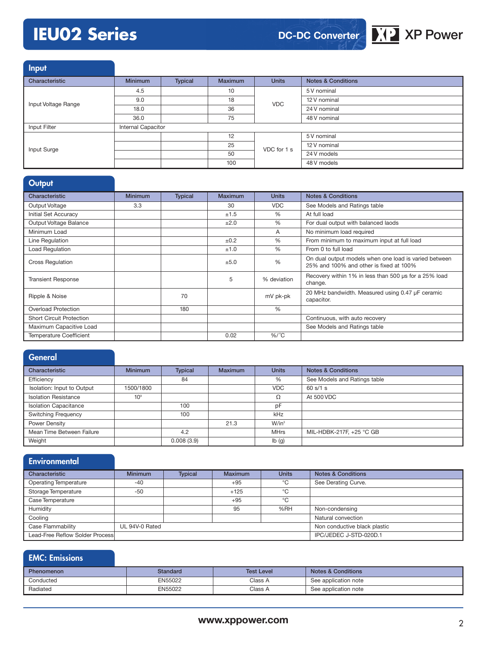### **IEU02 Series XP Power**



Input

| ----                |                    |         |                |              |                               |
|---------------------|--------------------|---------|----------------|--------------|-------------------------------|
| Characteristic      | <b>Minimum</b>     | Typical | <b>Maximum</b> | <b>Units</b> | <b>Notes &amp; Conditions</b> |
|                     | 4.5                |         | 10             |              | 5 V nominal                   |
| Input Voltage Range | 9.0                |         | 18             | <b>VDC</b>   | 12 V nominal                  |
|                     | 18.0               |         | 36             |              | 24 V nominal                  |
|                     | 36.0               |         | 75             |              | 48 V nominal                  |
| Input Filter        | Internal Capacitor |         |                |              |                               |
|                     |                    |         | 12             | VDC for 1 s  | 5 V nominal                   |
| Input Surge         |                    |         | 25             |              | 12 V nominal                  |
|                     |                    |         | 50             |              | 24 V models                   |
|                     |                    |         | 100            |              | 48 V models                   |

#### **Output**

| Characteristic                  | <b>Minimum</b> | <b>Typical</b> | <b>Maximum</b> | <b>Units</b>  | <b>Notes &amp; Conditions</b>                                                                    |
|---------------------------------|----------------|----------------|----------------|---------------|--------------------------------------------------------------------------------------------------|
| Output Voltage                  | 3.3            |                | 30             | <b>VDC</b>    | See Models and Ratings table                                                                     |
| Initial Set Accuracy            |                |                | ±1.5           | $\%$          | At full load                                                                                     |
| Output Voltage Balance          |                |                | ±2.0           | $\%$          | For dual output with balanced laods                                                              |
| Minimum Load                    |                |                |                | A             | No minimum load required                                                                         |
| Line Regulation                 |                |                | ±0.2           | $\frac{0}{6}$ | From minimum to maximum input at full load                                                       |
| <b>Load Regulation</b>          |                |                | ±1.0           | $\%$          | From 0 to full load                                                                              |
| <b>Cross Regulation</b>         |                |                | ±5.0           | $\frac{0}{6}$ | On dual output models when one load is varied between<br>25% and 100% and other is fixed at 100% |
| <b>Transient Response</b>       |                |                | 5              | % deviation   | Recovery within 1% in less than 500 us for a 25% load<br>change.                                 |
| Ripple & Noise                  |                | 70             |                | mV pk-pk      | 20 MHz bandwidth. Measured using 0.47 µF ceramic<br>capacitor.                                   |
| <b>Overload Protection</b>      |                | 180            |                | $\frac{0}{6}$ |                                                                                                  |
| <b>Short Circuit Protection</b> |                |                |                |               | Continuous, with auto recovery                                                                   |
| Maximum Capacitive Load         |                |                |                |               | See Models and Ratings table                                                                     |
| <b>Temperature Coefficient</b>  |                |                | 0.02           | $%$ /°C       |                                                                                                  |

#### **General**

| Characteristic               | <b>Minimum</b>  | <b>Typical</b> | <b>Maximum</b> | <b>Units</b>              | <b>Notes &amp; Conditions</b> |
|------------------------------|-----------------|----------------|----------------|---------------------------|-------------------------------|
| Efficiency                   |                 | 84             |                | %                         | See Models and Ratings table  |
| Isolation: Input to Output   | 1500/1800       |                |                | <b>VDC</b>                | 60 s/1 s                      |
| <b>Isolation Resistance</b>  | 10 <sup>9</sup> |                |                | Ω                         | At 500 VDC                    |
| <b>Isolation Capacitance</b> |                 | 100            |                | рF                        |                               |
| <b>Switching Frequency</b>   |                 | 100            |                | kHz                       |                               |
| Power Density                |                 |                | 21.3           | $W/in^3$                  |                               |
| Mean Time Between Failure    |                 | 4.2            |                | <b>MHrs</b>               | MIL-HDBK-217F, +25 °C GB      |
| Weight                       |                 | 0.008(3.9)     |                | $\mathsf{lb}(\mathsf{g})$ |                               |

#### **Environmental** Characteristic **Minimum Typical Maximum Units Notes & Conditions** Operating Temperature -40 -40 +95 °C See Derating Curve. Storage Temperature -50 +125 +125 °C Case Temperature **Case Temperature** +95 <sup>°C</sup> Humidity **195 % 196 % RH** Non-condensing Cooling Cooling and Cooling Cooling Cooling Cooling Cooling Cooling Cooling Cooling Cooling Cooling Cooling Cooling Cooling Cooling Cooling Cooling Cooling Cooling Cooling Cooling Cooling Cooling Cooling Cooling Cooling Co Case Flammability UL 94V-0 Rated Non conductive black plastic Lead-Free Reflow Solder Process IPC/JEDEC J-STD-020D.1

#### EMC: Emissions

| <b>Phenomenon</b> | Standard | <b>Test Level</b> | <b>Notes &amp; Conditions</b> |
|-------------------|----------|-------------------|-------------------------------|
| Conducted         | EN55022  | Class A           | See application note          |
| Radiated          | EN55022  | Class A           | See application note          |